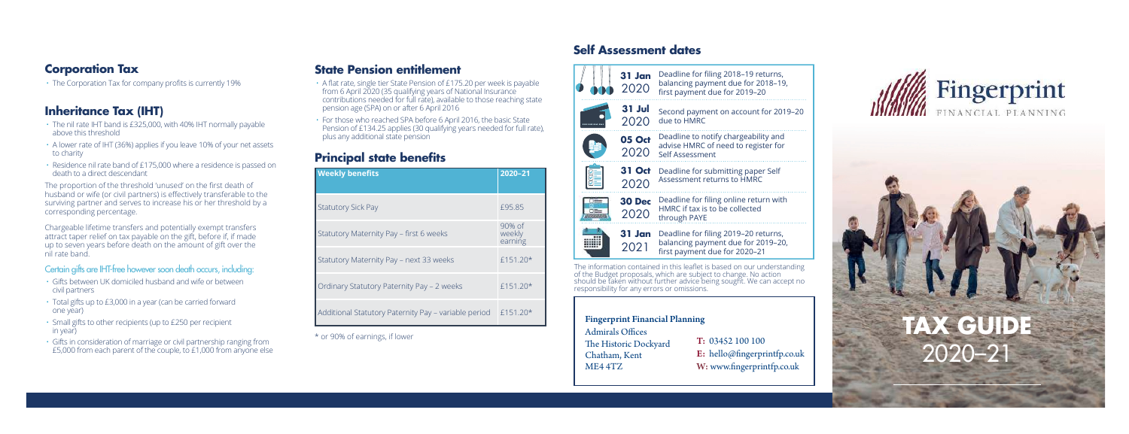## **Corporation Tax**

 $\cdot$  The Corporation Tax for company profits is currently 19%

# **Inheritance Tax (IHT)**

- The nil rate IHT band is £325,000, with 40% IHT normally payable above this threshold
- A lower rate of IHT (36%) applies if you leave 10% of your net assets to charity
- Residence nil rate band of £175,000 where a residence is passed on death to a direct descendant

The proportion of the threshold 'unused' on the first death of husband or wife (or civil partners) is effectively transferable to the surviving partner and serves to increase his or her threshold by a corresponding percentage.

Chargeable lifetime transfers and potentially exempt transfers attract taper relief on tax payable on the gift, before if, if made up to seven years before death on the amount of gift over the nil rate band.

### Certain gifts are IHT-free however soon death occurs, including:

- Gifts between UK domiciled husband and wife or between civil partners
- Total gifts up to £3,000 in a year (can be carried forward one year)
- Small gifts to other recipients (up to £250 per recipient in year)
- Gifts in consideration of marriage or civil partnership ranging from £5,000 from each parent of the couple, to £1,000 from anyone else

# **State Pension entitlement**

• A flat rate, single tier State Pension of £175.20 per week is payable from 6 April 2020 (35 qualifying years of National Insurance contributions needed for full rate), available to those reaching state pension age (SPA) on or after 6 April 2016

• For those who reached SPA before 6 April 2016, the basic State Pension of £134.25 applies (30 qualifying years needed for full rate), plus any additional state pension

# **Principal state benefits**

| <b>Weekly benefits</b>                               | 2020-21                     |
|------------------------------------------------------|-----------------------------|
| <b>Statutory Sick Pay</b>                            | £95.85                      |
| Statutory Maternity Pay - first 6 weeks              | 90% of<br>weekly<br>earning |
| Statutory Maternity Pay - next 33 weeks              | $f151.20*$                  |
| Ordinary Statutory Paternity Pay - 2 weeks           | £151.20*                    |
| Additional Statutory Paternity Pay - variable period | $f151.20*$                  |

# **Self Assessment dates**



#### Fingerprint Financial Planning

Admirals Offices The Historic Dockyard Chatham, Kent ME4 4TZ T: 03452 100 100 E: hello@fingerprintfp.co.uk W: www.fingerprintfp.co.uk